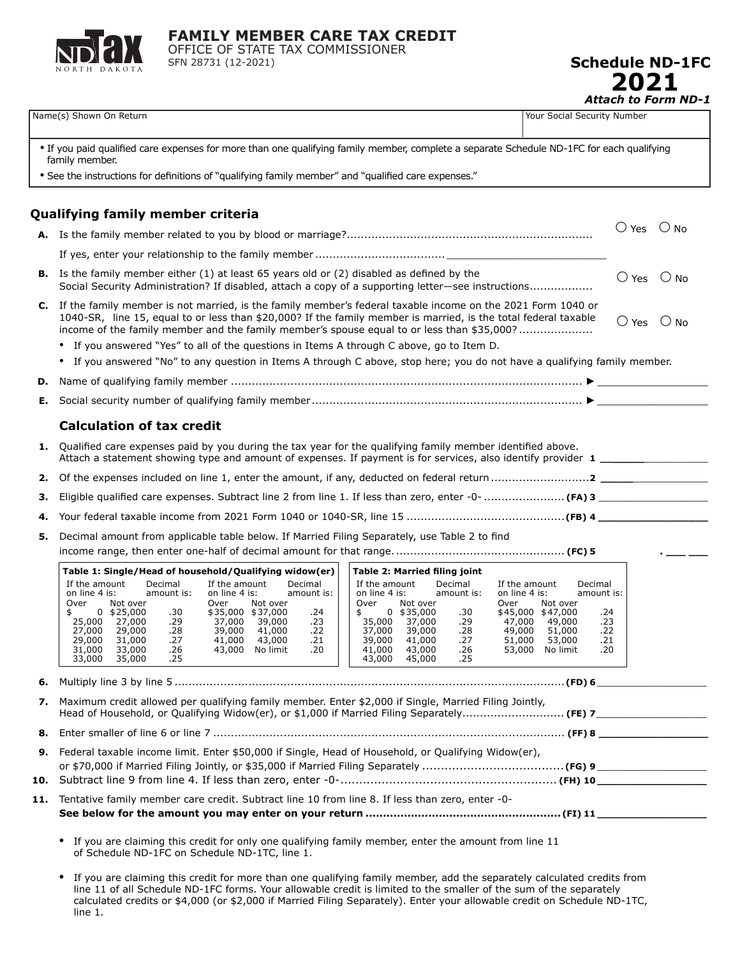

OFFICE OF STATE TAX COMMISSIONER SFN 28731 (12-2021)

| <b>Schedule ND-1FC</b>   |  |
|--------------------------|--|
| 2021                     |  |
| $111226$ is farmed $107$ |  |

*Attach to Form ND-1*

| Name(s) Shown On Return                                                                                                                                                                                                                                                                                                                                                                                                                                                        |                                                                                                                                                                                                                                                                                               | Your Social Security Number                                                                                                                                 |
|--------------------------------------------------------------------------------------------------------------------------------------------------------------------------------------------------------------------------------------------------------------------------------------------------------------------------------------------------------------------------------------------------------------------------------------------------------------------------------|-----------------------------------------------------------------------------------------------------------------------------------------------------------------------------------------------------------------------------------------------------------------------------------------------|-------------------------------------------------------------------------------------------------------------------------------------------------------------|
| . If you paid qualified care expenses for more than one qualifying family member, complete a separate Schedule ND-1FC for each qualifying<br>family member.                                                                                                                                                                                                                                                                                                                    |                                                                                                                                                                                                                                                                                               |                                                                                                                                                             |
| • See the instructions for definitions of "qualifying family member" and "qualified care expenses."                                                                                                                                                                                                                                                                                                                                                                            |                                                                                                                                                                                                                                                                                               |                                                                                                                                                             |
|                                                                                                                                                                                                                                                                                                                                                                                                                                                                                |                                                                                                                                                                                                                                                                                               |                                                                                                                                                             |
| Qualifying family member criteria                                                                                                                                                                                                                                                                                                                                                                                                                                              |                                                                                                                                                                                                                                                                                               | $O$ Yes $O$ No                                                                                                                                              |
|                                                                                                                                                                                                                                                                                                                                                                                                                                                                                |                                                                                                                                                                                                                                                                                               |                                                                                                                                                             |
|                                                                                                                                                                                                                                                                                                                                                                                                                                                                                |                                                                                                                                                                                                                                                                                               |                                                                                                                                                             |
| <b>B.</b> Is the family member either $(1)$ at least 65 years old or $(2)$ disabled as defined by the<br>Social Security Administration? If disabled, attach a copy of a supporting letter-see instructions                                                                                                                                                                                                                                                                    |                                                                                                                                                                                                                                                                                               | $\bigcirc$ Yes<br>$\bigcirc$ No                                                                                                                             |
| C. If the family member is not married, is the family member's federal taxable income on the 2021 Form 1040 or<br>1040-SR, line 15, equal to or less than \$20,000? If the family member is married, is the total federal taxable<br>income of the family member and the family member's spouse equal to or less than \$35,000?<br>• If you answered "Yes" to all of the questions in Items A through C above, go to Item D.                                                   |                                                                                                                                                                                                                                                                                               | $\bigcirc$ Yes<br>$\bigcirc$ No                                                                                                                             |
| • If you answered "No" to any question in Items A through C above, stop here; you do not have a qualifying family member.                                                                                                                                                                                                                                                                                                                                                      |                                                                                                                                                                                                                                                                                               |                                                                                                                                                             |
| D.                                                                                                                                                                                                                                                                                                                                                                                                                                                                             |                                                                                                                                                                                                                                                                                               |                                                                                                                                                             |
| Е.                                                                                                                                                                                                                                                                                                                                                                                                                                                                             |                                                                                                                                                                                                                                                                                               |                                                                                                                                                             |
|                                                                                                                                                                                                                                                                                                                                                                                                                                                                                |                                                                                                                                                                                                                                                                                               |                                                                                                                                                             |
| <b>Calculation of tax credit</b>                                                                                                                                                                                                                                                                                                                                                                                                                                               |                                                                                                                                                                                                                                                                                               |                                                                                                                                                             |
| Qualified care expenses paid by you during the tax year for the qualifying family member identified above.<br>1.<br>Attach a statement showing type and amount of expenses. If payment is for services, also identify provider 1 __________________________                                                                                                                                                                                                                    |                                                                                                                                                                                                                                                                                               |                                                                                                                                                             |
| 2.                                                                                                                                                                                                                                                                                                                                                                                                                                                                             |                                                                                                                                                                                                                                                                                               |                                                                                                                                                             |
| Eligible qualified care expenses. Subtract line 2 from line 1. If less than zero, enter -0-  (FA) 3<br>з.                                                                                                                                                                                                                                                                                                                                                                      |                                                                                                                                                                                                                                                                                               |                                                                                                                                                             |
| 4.                                                                                                                                                                                                                                                                                                                                                                                                                                                                             |                                                                                                                                                                                                                                                                                               |                                                                                                                                                             |
| Decimal amount from applicable table below. If Married Filing Separately, use Table 2 to find<br>5.                                                                                                                                                                                                                                                                                                                                                                            |                                                                                                                                                                                                                                                                                               |                                                                                                                                                             |
|                                                                                                                                                                                                                                                                                                                                                                                                                                                                                |                                                                                                                                                                                                                                                                                               |                                                                                                                                                             |
| Table 1: Single/Head of household/Qualifying widow(er)                                                                                                                                                                                                                                                                                                                                                                                                                         | Table 2: Married filing joint                                                                                                                                                                                                                                                                 |                                                                                                                                                             |
| If the amount<br>If the amount<br>Decimal<br>Decimal<br>on line 4 is:<br>amount is:<br>on line 4 is:<br>amount is:<br>Over<br>Over<br>Not over<br>Not over<br>$0$ \$25,000<br>.30<br>\$35,000 \$37,000<br>.24<br>\$<br>\$<br>27,000<br>.29<br>37,000<br>39,000<br>.23<br>25,000<br>29,000<br>.28<br>41,000<br>.22<br>27,000<br>39,000<br>31,000<br>.27<br>.21<br>29,000<br>41,000<br>43,000<br>33,000<br>31,000<br>.26<br>43,000<br>No limit<br>.20<br>33,000<br>35,000<br>.25 | If the amount<br>Decimal<br>on line 4 is:<br>amount is:<br>on line 4 is:<br>Over<br>Over<br>Not over<br>$0$ \$35,000<br>.30<br>35,000<br>37,000<br>.29<br>47,000<br>37,000<br>39,000<br>.28<br>49,000<br>39,000<br>41,000<br>.27<br>51,000<br>43,000<br>41,000<br>.26<br>43,000 45,000<br>.25 | If the amount<br>Decimal<br>amount is:<br>Not over<br>\$45,000 \$47,000<br>.24<br>49,000<br>.23<br>51,000<br>.22<br>53,000<br>.21<br>53,000 No limit<br>.20 |
| 6.                                                                                                                                                                                                                                                                                                                                                                                                                                                                             |                                                                                                                                                                                                                                                                                               |                                                                                                                                                             |
| Maximum credit allowed per qualifying family member. Enter \$2,000 if Single, Married Filing Jointly,<br>7.                                                                                                                                                                                                                                                                                                                                                                    |                                                                                                                                                                                                                                                                                               |                                                                                                                                                             |
| 8.                                                                                                                                                                                                                                                                                                                                                                                                                                                                             |                                                                                                                                                                                                                                                                                               |                                                                                                                                                             |
| Federal taxable income limit. Enter \$50,000 if Single, Head of Household, or Qualifying Widow(er),<br>9.<br>10.                                                                                                                                                                                                                                                                                                                                                               |                                                                                                                                                                                                                                                                                               |                                                                                                                                                             |
| Tentative family member care credit. Subtract line 10 from line 8. If less than zero, enter -0-<br>11.                                                                                                                                                                                                                                                                                                                                                                         |                                                                                                                                                                                                                                                                                               |                                                                                                                                                             |
| • If you are claiming this credit for only one qualifying family member, enter the amount from line 11                                                                                                                                                                                                                                                                                                                                                                         |                                                                                                                                                                                                                                                                                               |                                                                                                                                                             |

of Schedule ND-1FC on Schedule ND-1TC, line 1.

**•** If you are claiming this credit for more than one qualifying family member, add the separately calculated credits from line 11 of all Schedule ND‑1FC forms. Your allowable credit is limited to the smaller of the sum of the separately calculated credits or \$4,000 (or \$2,000 if Married Filing Separately). Enter your allowable credit on Schedule ND-1TC, line 1.